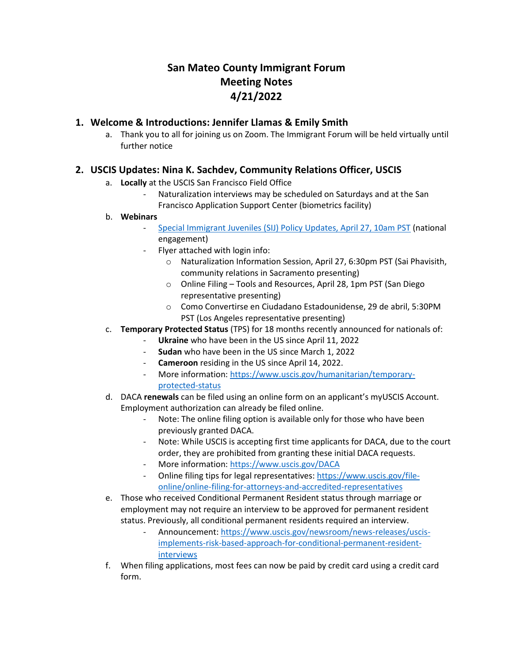# **San Mateo County Immigrant Forum Meeting Notes 4/21/2022**

# **1. Welcome & Introductions: Jennifer Llamas & Emily Smith**

a. Thank you to all for joining us on Zoom. The Immigrant Forum will be held virtually until further notice

# **2. USCIS Updates: Nina K. Sachdev, Community Relations Officer, USCIS**

- a. **Locally** at the USCIS San Francisco Field Office
	- Naturalization interviews may be scheduled on Saturdays and at the San Francisco Application Support Center (biometrics facility)

#### b. **Webinars**

- [Special Immigrant Juveniles \(SIJ\) Policy Updates, April 27, 10am PST](https://protect-us.mimecast.com/s/Zxn7CwpyK9cpqm9LuV2WCj) (national engagement)
- Flyer attached with login info:
	- o Naturalization Information Session, April 27, 6:30pm PST (Sai Phavisith, community relations in Sacramento presenting)
	- o Online Filing Tools and Resources, April 28, 1pm PST (San Diego representative presenting)
	- o Como Convertirse en Ciudadano Estadounidense, 29 de abril, 5:30PM PST (Los Angeles representative presenting)
- c. **Temporary Protected Status** (TPS) for 18 months recently announced for nationals of:
	- Ukraine who have been in the US since April 11, 2022
		- **Sudan** who have been in the US since March 1, 2022
	- **Cameroon** residing in the US since April 14, 2022.
	- More information[: https://www.uscis.gov/humanitarian/temporary](https://protect-us.mimecast.com/s/aJWkCxkz2qFO7VwJuvml86)[protected-status](https://protect-us.mimecast.com/s/aJWkCxkz2qFO7VwJuvml86)
- d. DACA **renewals** can be filed using an online form on an applicant's myUSCIS Account. Employment authorization can already be filed online.
	- Note: The online filing option is available only for those who have been previously granted DACA.
	- Note: While USCIS is accepting first time applicants for DACA, due to the court order, they are prohibited from granting these initial DACA requests.
	- More information[: https://www.uscis.gov/DACA](https://protect-us.mimecast.com/s/WU4zCyPA9lIn8wkNIQLis0)
	- Online filing tips for legal representatives: [https://www.uscis.gov/file](https://protect-us.mimecast.com/s/EpIjCzp47PcLkZ9RsKHQP7)[online/online-filing-for-attorneys-and-accredited-representatives](https://protect-us.mimecast.com/s/EpIjCzp47PcLkZ9RsKHQP7)
- e. Those who received Conditional Permanent Resident status through marriage or employment may not require an interview to be approved for permanent resident status. Previously, all conditional permanent residents required an interview.
	- Announcement[: https://www.uscis.gov/newsroom/news-releases/uscis](https://protect-us.mimecast.com/s/q3G3CADXMqFYwX29cQ3VxD)[implements-risk-based-approach-for-conditional-permanent-resident](https://protect-us.mimecast.com/s/q3G3CADXMqFYwX29cQ3VxD)[interviews](https://protect-us.mimecast.com/s/q3G3CADXMqFYwX29cQ3VxD)
- f. When filing applications, most fees can now be paid by credit card using a credit card form.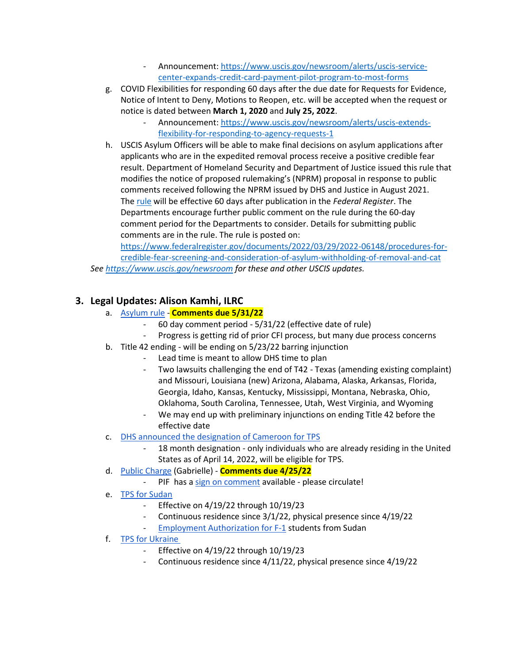- Announcement[: https://www.uscis.gov/newsroom/alerts/uscis-service](https://protect-us.mimecast.com/s/66J7CBBXPocowrBVs1uZL9)[center-expands-credit-card-payment-pilot-program-to-most-forms](https://protect-us.mimecast.com/s/66J7CBBXPocowrBVs1uZL9)
- g. COVID Flexibilities for responding 60 days after the due date for Requests for Evidence, Notice of Intent to Deny, Motions to Reopen, etc. will be accepted when the request or notice is dated between **March 1, 2020** and **July 25, 2022**.
	- Announcement[: https://www.uscis.gov/newsroom/alerts/uscis-extends](https://protect-us.mimecast.com/s/cr1aCDkZQNFPEz0BIRXczD)[flexibility-for-responding-to-agency-requests-1](https://protect-us.mimecast.com/s/cr1aCDkZQNFPEz0BIRXczD)
- h. USCIS Asylum Officers will be able to make final decisions on asylum applications after applicants who are in the expedited removal process receive a positive credible fear result. Department of Homeland Security and Department of Justice issued this rule that modifies the notice of proposed rulemaking's (NPRM) proposal in response to public comments received following the NPRM issued by DHS and Justice in August 2021. The [rule](https://protect-us.mimecast.com/s/H5sMCERX0OIPv2MWIxy0tU) will be effective 60 days after publication in the *Federal Register*. The Departments encourage further public comment on the rule during the 60-day comment period for the Departments to consider. Details for submitting public comments are in the rule. The rule is posted on:

[https://www.federalregister.gov/documents/2022/03/29/2022-06148/procedures-for](https://protect-us.mimecast.com/s/xcemCG6XMncgDRGJhr6jqO)[credible-fear-screening-and-consideration-of-asylum-withholding-of-removal-and-cat](https://protect-us.mimecast.com/s/xcemCG6XMncgDRGJhr6jqO) *See [https://www.uscis.gov/newsroom](https://protect-us.mimecast.com/s/RjJ9CJ6KNDcX6v58TKohdO) for these and other USCIS updates.* 

# **3. Legal Updates: Alison Kamhi, ILRC**

- a. [Asylum rule](https://protect-us.mimecast.com/s/Z235CXDXrxFJ8g22c6OaiJ) **Comments due 5/31/22**
	- 60 day comment period 5/31/22 (effective date of rule)
	- Progress is getting rid of prior CFI process, but many due process concerns
- b. Title 42 ending will be ending on 5/23/22 barring injunction
	- Lead time is meant to allow DHS time to plan
	- Two lawsuits challenging the end of T42 Texas (amending existing complaint) and Missouri, Louisiana (new) Arizona, Alabama, Alaska, Arkansas, Florida, Georgia, Idaho, Kansas, Kentucky, Mississippi, Montana, Nebraska, Ohio, Oklahoma, South Carolina, Tennessee, Utah, West Virginia, and Wyoming
	- We may end up with preliminary injunctions on ending Title 42 before the effective date
- c. [DHS announced the designation of Cameroon for TPS](https://protect-us.mimecast.com/s/qhbiCYEYypC8nvMMSGMCWG)
	- 18 month designation only individuals who are already residing in the United States as of April 14, 2022, will be eligible for TPS.
- d. [Public Charge](https://protect-us.mimecast.com/s/KIbvCZ6GzOcGkwllHKDum6) (Gabrielle) **Comments due 4/25/22**
	- PIF has a [sign on comment](https://protect-us.mimecast.com/s/UncJC1wpG1cRP033TXyUOh/) available please circulate!
- e. [TPS for Sudan](https://protect-us.mimecast.com/s/M9lpC2kq74FjB411u9dt1h)
	- Effective on 4/19/22 through 10/19/23
	- Continuous residence since 3/1/22, physical presence since 4/19/22
	- [Employment Authorization for F-1](https://protect-us.mimecast.com/s/-pIoC31ryRcByPqqFvJRBL) students from Sudan
- f. [TPS for Ukraine](https://protect-us.mimecast.com/s/__NhC4xvzmIoDnggHjbfMD)
	- Effective on 4/19/22 through 10/19/23
	- Continuous residence since 4/11/22, physical presence since 4/19/22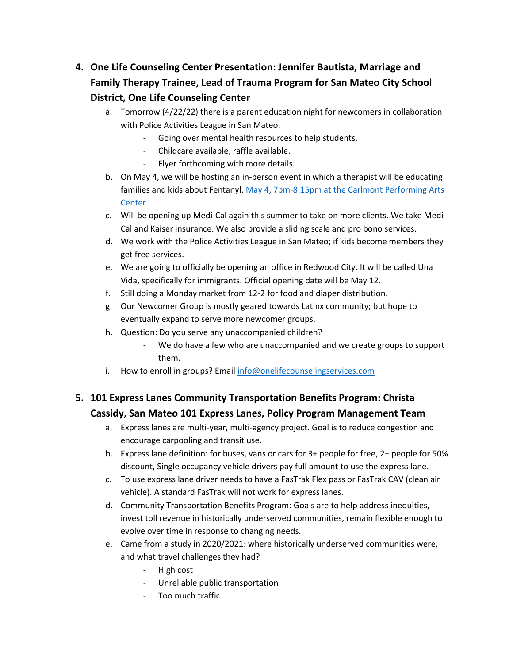- **4. One Life Counseling Center Presentation: Jennifer Bautista, Marriage and Family Therapy Trainee, Lead of Trauma Program for San Mateo City School District, One Life Counseling Center**
	- a. Tomorrow (4/22/22) there is a parent education night for newcomers in collaboration with Police Activities League in San Mateo.
		- Going over mental health resources to help students.
		- Childcare available, raffle available.
		- Flyer forthcoming with more details.
	- b. On May 4, we will be hosting an in-person event in which a therapist will be educating families and kids about Fentanyl. May 4, 7pm-8:15pm [at the Carlmont Performing Arts](https://www.eventbrite.com/e/drugs-in-the-age-of-fentanyl-tickets-315043773407)  [Center.](https://www.eventbrite.com/e/drugs-in-the-age-of-fentanyl-tickets-315043773407)
	- c. Will be opening up Medi-Cal again this summer to take on more clients. We take Medi-Cal and Kaiser insurance. We also provide a sliding scale and pro bono services.
	- d. We work with the Police Activities League in San Mateo; if kids become members they get free services.
	- e. We are going to officially be opening an office in Redwood City. It will be called Una Vida, specifically for immigrants. Official opening date will be May 12.
	- f. Still doing a Monday market from 12-2 for food and diaper distribution.
	- g. Our Newcomer Group is mostly geared towards Latinx community; but hope to eventually expand to serve more newcomer groups.
	- h. Question: Do you serve any unaccompanied children?
		- We do have a few who are unaccompanied and we create groups to support them.
	- i. How to enroll in groups? Email [info@onelifecounselingservices.com](mailto:info@onelifecounselingservices.com)

# **5. 101 Express Lanes Community Transportation Benefits Program: Christa Cassidy, San Mateo 101 Express Lanes, Policy Program Management Team**

- a. Express lanes are multi-year, multi-agency project. Goal is to reduce congestion and encourage carpooling and transit use.
- b. Express lane definition: for buses, vans or cars for 3+ people for free, 2+ people for 50% discount, Single occupancy vehicle drivers pay full amount to use the express lane.
- c. To use express lane driver needs to have a FasTrak Flex pass or FasTrak CAV (clean air vehicle). A standard FasTrak will not work for express lanes.
- d. Community Transportation Benefits Program: Goals are to help address inequities, invest toll revenue in historically underserved communities, remain flexible enough to evolve over time in response to changing needs.
- e. Came from a study in 2020/2021: where historically underserved communities were, and what travel challenges they had?
	- High cost
	- Unreliable public transportation
	- Too much traffic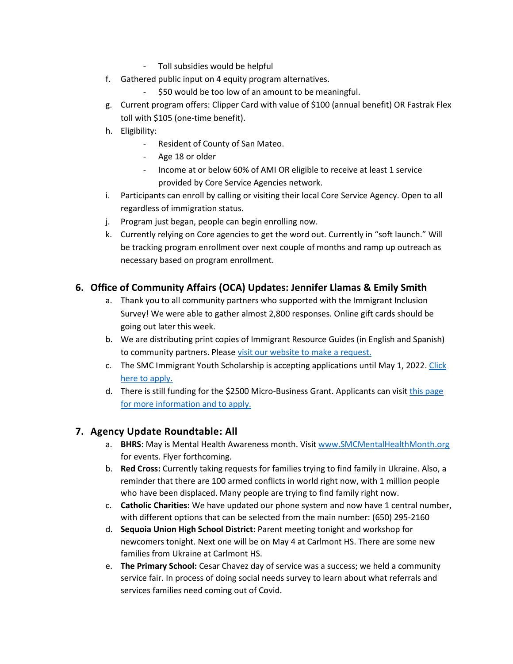- Toll subsidies would be helpful
- f. Gathered public input on 4 equity program alternatives.
	- \$50 would be too low of an amount to be meaningful.
- g. Current program offers: Clipper Card with value of \$100 (annual benefit) OR Fastrak Flex toll with \$105 (one-time benefit).
- h. Eligibility:
	- Resident of County of San Mateo.
	- Age 18 or older
	- Income at or below 60% of AMI OR eligible to receive at least 1 service provided by Core Service Agencies network.
- i. Participants can enroll by calling or visiting their local Core Service Agency. Open to all regardless of immigration status.
- j. Program just began, people can begin enrolling now.
- k. Currently relying on Core agencies to get the word out. Currently in "soft launch." Will be tracking program enrollment over next couple of months and ramp up outreach as necessary based on program enrollment.

# **6. Office of Community Affairs (OCA) Updates: Jennifer Llamas & Emily Smith**

- a. Thank you to all community partners who supported with the Immigrant Inclusion Survey! We were able to gather almost 2,800 responses. Online gift cards should be going out later this week.
- b. We are distributing print copies of Immigrant Resource Guides (in English and Spanish) to community partners. Pleas[e visit our website to make a request.](https://smcd92021.prod.acquia-sites.com/ceo/immigrants-gateway-resources-booklets)
- c. The SMC Immigrant Youth Scholarship is accepting applications until May 1, 2022. [Click](http://www.bit.ly/SMYCScholarship22)  [here to apply.](http://www.bit.ly/SMYCScholarship22)
- d. There is still funding for the \$2500 Micro-Business Grant. Applicants can visit this page [for more information and to apply.](http://www.tinyurl.com/smccovidgrant)

### **7. Agency Update Roundtable: All**

- a. **BHRS**: May is Mental Health Awareness month. Visit [www.SMCMentalHealthMonth.org](http://www.smcmentalhealthmonth.org/) for events. Flyer forthcoming.
- b. **Red Cross:** Currently taking requests for families trying to find family in Ukraine. Also, a reminder that there are 100 armed conflicts in world right now, with 1 million people who have been displaced. Many people are trying to find family right now.
- c. **Catholic Charities:** We have updated our phone system and now have 1 central number, with different options that can be selected from the main number: (650) 295-2160
- d. **Sequoia Union High School District:** Parent meeting tonight and workshop for newcomers tonight. Next one will be on May 4 at Carlmont HS. There are some new families from Ukraine at Carlmont HS.
- e. **The Primary School:** Cesar Chavez day of service was a success; we held a community service fair. In process of doing social needs survey to learn about what referrals and services families need coming out of Covid.